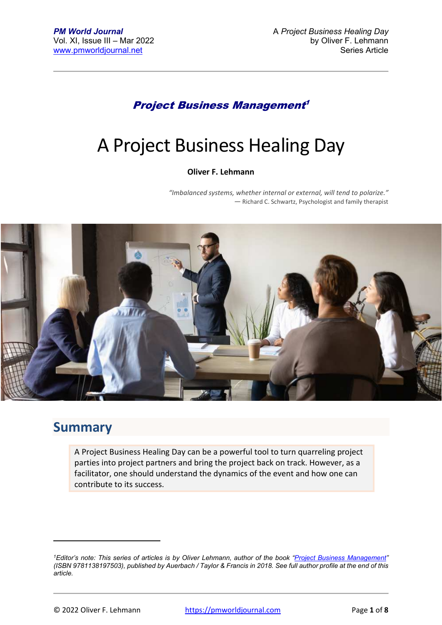#### Project Business Management 1

# A Project Business Healing Day

#### **Oliver F. Lehmann**

*"Imbalanced systems, whether internal or external, will tend to polarize." ―* Richard C. Schwartz, Psychologist and family therapist



#### **Summary**

A Project Business Healing Day can be a powerful tool to turn quarreling project parties into project partners and bring the project back on track. However, as a facilitator, one should understand the dynamics of the event and how one can contribute to its success.

*<sup>1</sup>Editor's note: This series of articles is by Oliver Lehmann, author of the book "Project Business Management" (ISBN 9781138197503), published by Auerbach / Taylor & Francis in 2018. See full author profile at the end of this article.*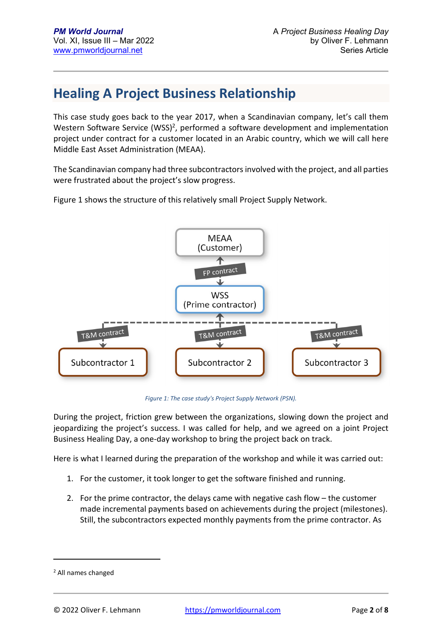### **Healing A Project Business Relationship**

This case study goes back to the year 2017, when a Scandinavian company, let's call them Western Software Service (WSS)<sup>2</sup>, performed a software development and implementation project under contract for a customer located in an Arabic country, which we will call here Middle East Asset Administration (MEAA).

The Scandinavian company had three subcontractors involved with the project, and all parties were frustrated about the project's slow progress.

Figure 1 shows the structure of this relatively small Project Supply Network.



*Figure 1: The case study's Project Supply Network (PSN).* 

During the project, friction grew between the organizations, slowing down the project and jeopardizing the project's success. I was called for help, and we agreed on a joint Project Business Healing Day, a one-day workshop to bring the project back on track.

Here is what I learned during the preparation of the workshop and while it was carried out:

- 1. For the customer, it took longer to get the software finished and running.
- 2. For the prime contractor, the delays came with negative cash flow the customer made incremental payments based on achievements during the project (milestones). Still, the subcontractors expected monthly payments from the prime contractor. As

<sup>2</sup> All names changed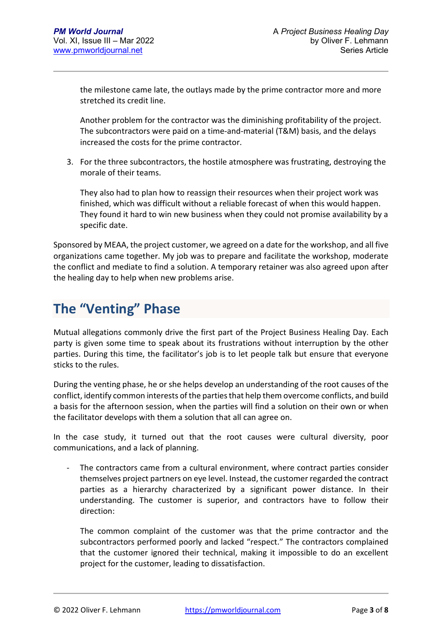the milestone came late, the outlays made by the prime contractor more and more stretched its credit line.

Another problem for the contractor was the diminishing profitability of the project. The subcontractors were paid on a time-and-material (T&M) basis, and the delays increased the costs for the prime contractor.

3. For the three subcontractors, the hostile atmosphere was frustrating, destroying the morale of their teams.

They also had to plan how to reassign their resources when their project work was finished, which was difficult without a reliable forecast of when this would happen. They found it hard to win new business when they could not promise availability by a specific date.

Sponsored by MEAA, the project customer, we agreed on a date for the workshop, and all five organizations came together. My job was to prepare and facilitate the workshop, moderate the conflict and mediate to find a solution. A temporary retainer was also agreed upon after the healing day to help when new problems arise.

## **The "Venting" Phase**

Mutual allegations commonly drive the first part of the Project Business Healing Day. Each party is given some time to speak about its frustrations without interruption by the other parties. During this time, the facilitator's job is to let people talk but ensure that everyone sticks to the rules.

During the venting phase, he or she helps develop an understanding of the root causes of the conflict, identify common interests of the parties that help them overcome conflicts, and build a basis for the afternoon session, when the parties will find a solution on their own or when the facilitator develops with them a solution that all can agree on.

In the case study, it turned out that the root causes were cultural diversity, poor communications, and a lack of planning.

- The contractors came from a cultural environment, where contract parties consider themselves project partners on eye level. Instead, the customer regarded the contract parties as a hierarchy characterized by a significant power distance. In their understanding. The customer is superior, and contractors have to follow their direction:

The common complaint of the customer was that the prime contractor and the subcontractors performed poorly and lacked "respect." The contractors complained that the customer ignored their technical, making it impossible to do an excellent project for the customer, leading to dissatisfaction.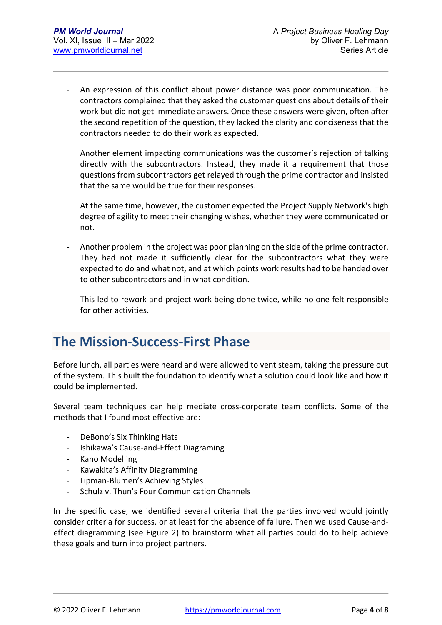An expression of this conflict about power distance was poor communication. The contractors complained that they asked the customer questions about details of their work but did not get immediate answers. Once these answers were given, often after the second repetition of the question, they lacked the clarity and conciseness that the contractors needed to do their work as expected.

Another element impacting communications was the customer's rejection of talking directly with the subcontractors. Instead, they made it a requirement that those questions from subcontractors get relayed through the prime contractor and insisted that the same would be true for their responses.

At the same time, however, the customer expected the Project Supply Network's high degree of agility to meet their changing wishes, whether they were communicated or not.

Another problem in the project was poor planning on the side of the prime contractor. They had not made it sufficiently clear for the subcontractors what they were expected to do and what not, and at which points work results had to be handed over to other subcontractors and in what condition.

This led to rework and project work being done twice, while no one felt responsible for other activities.

### **The Mission-Success-First Phase**

Before lunch, all parties were heard and were allowed to vent steam, taking the pressure out of the system. This built the foundation to identify what a solution could look like and how it could be implemented.

Several team techniques can help mediate cross-corporate team conflicts. Some of the methods that I found most effective are:

- DeBono's Six Thinking Hats
- Ishikawa's Cause-and-Effect Diagraming
- Kano Modelling
- Kawakita's Affinity Diagramming
- Lipman-Blumen's Achieving Styles
- Schulz v. Thun's Four Communication Channels

In the specific case, we identified several criteria that the parties involved would jointly consider criteria for success, or at least for the absence of failure. Then we used Cause-andeffect diagramming (see Figure 2) to brainstorm what all parties could do to help achieve these goals and turn into project partners.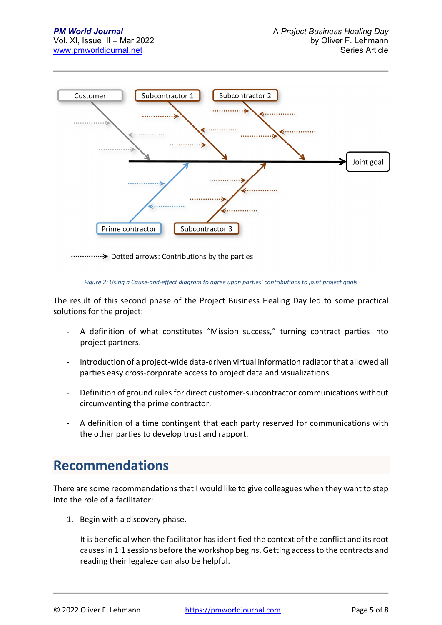

#### *Figure 2: Using a Cause-and-effect diagram to agree upon parties' contributions to joint project goals*

The result of this second phase of the Project Business Healing Day led to some practical solutions for the project:

- A definition of what constitutes "Mission success," turning contract parties into project partners.
- Introduction of a project-wide data-driven virtual information radiator that allowed all parties easy cross-corporate access to project data and visualizations.
- Definition of ground rules for direct customer-subcontractor communications without circumventing the prime contractor.
- A definition of a time contingent that each party reserved for communications with the other parties to develop trust and rapport.

### **Recommendations**

There are some recommendations that I would like to give colleagues when they want to step into the role of a facilitator:

1. Begin with a discovery phase.

It is beneficial when the facilitator has identified the context of the conflict and its root causes in 1:1 sessions before the workshop begins. Getting access to the contracts and reading their legaleze can also be helpful.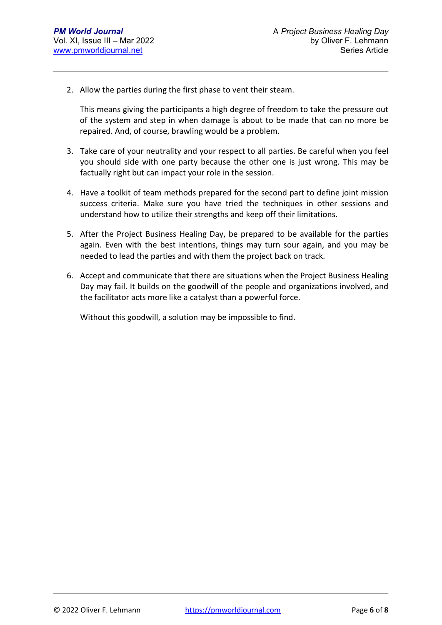2. Allow the parties during the first phase to vent their steam.

This means giving the participants a high degree of freedom to take the pressure out of the system and step in when damage is about to be made that can no more be repaired. And, of course, brawling would be a problem.

- 3. Take care of your neutrality and your respect to all parties. Be careful when you feel you should side with one party because the other one is just wrong. This may be factually right but can impact your role in the session.
- 4. Have a toolkit of team methods prepared for the second part to define joint mission success criteria. Make sure you have tried the techniques in other sessions and understand how to utilize their strengths and keep off their limitations.
- 5. After the Project Business Healing Day, be prepared to be available for the parties again. Even with the best intentions, things may turn sour again, and you may be needed to lead the parties and with them the project back on track.
- 6. Accept and communicate that there are situations when the Project Business Healing Day may fail. It builds on the goodwill of the people and organizations involved, and the facilitator acts more like a catalyst than a powerful force.

Without this goodwill, a solution may be impossible to find.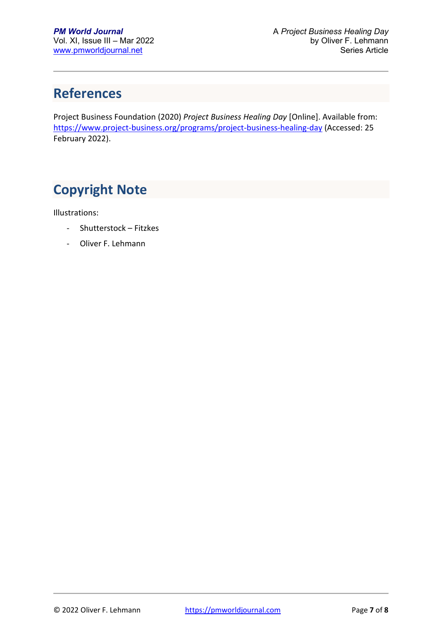# **References**

Project Business Foundation (2020) *Project Business Healing Day* [Online]. Available from: https://www.project-business.org/programs/project-business-healing-day (Accessed: 25 February 2022).

# **Copyright Note**

Illustrations:

- Shutterstock Fitzkes
- Oliver F. Lehmann